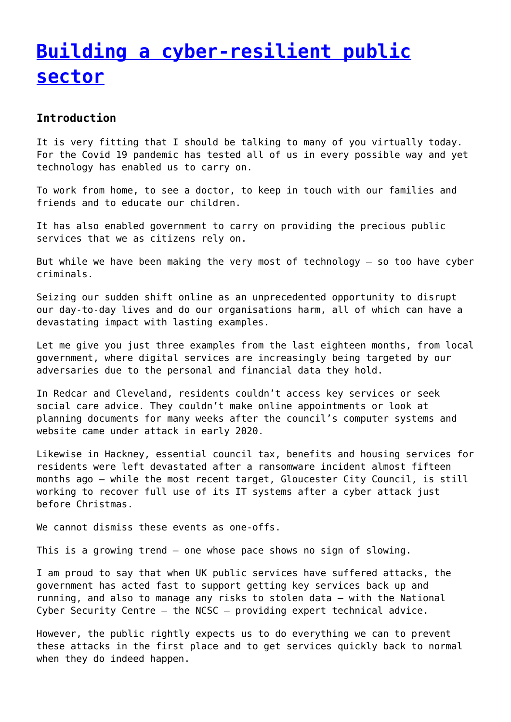# **[Building a cyber-resilient public](http://www.government-world.com/building-a-cyber-resilient-public-sector/) [sector](http://www.government-world.com/building-a-cyber-resilient-public-sector/)**

## **Introduction**

It is very fitting that I should be talking to many of you virtually today. For the Covid 19 pandemic has tested all of us in every possible way and yet technology has enabled us to carry on.

To work from home, to see a doctor, to keep in touch with our families and friends and to educate our children.

It has also enabled government to carry on providing the precious public services that we as citizens rely on.

But while we have been making the very most of technology – so too have cyber criminals.

Seizing our sudden shift online as an unprecedented opportunity to disrupt our day-to-day lives and do our organisations harm, all of which can have a devastating impact with lasting examples.

Let me give you just three examples from the last eighteen months, from local government, where digital services are increasingly being targeted by our adversaries due to the personal and financial data they hold.

In Redcar and Cleveland, residents couldn't access key services or seek social care advice. They couldn't make online appointments or look at planning documents for many weeks after the council's computer systems and website came under attack in early 2020.

Likewise in Hackney, essential council tax, benefits and housing services for residents were left devastated after a ransomware incident almost fifteen months ago – while the most recent target, Gloucester City Council, is still working to recover full use of its IT systems after a cyber attack just before Christmas.

We cannot dismiss these events as one-offs.

This is a growing trend – one whose pace shows no sign of slowing.

I am proud to say that when UK public services have suffered attacks, the government has acted fast to support getting key services back up and running, and also to manage any risks to stolen data – with the National Cyber Security Centre – the NCSC – providing expert technical advice.

However, the public rightly expects us to do everything we can to prevent these attacks in the first place and to get services quickly back to normal when they do indeed happen.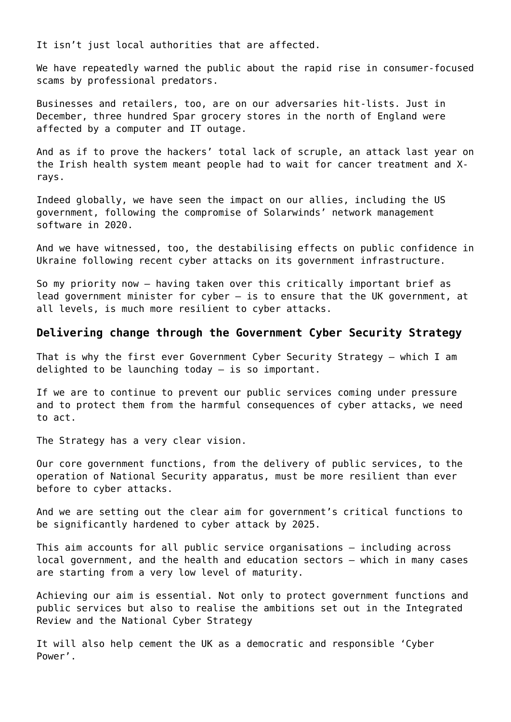It isn't just local authorities that are affected.

We have repeatedly warned the public about the rapid rise in consumer-focused scams by professional predators.

Businesses and retailers, too, are on our adversaries hit-lists. Just in December, three hundred Spar grocery stores in the north of England were affected by a computer and IT outage.

And as if to prove the hackers' total lack of scruple, an attack last year on the Irish health system meant people had to wait for cancer treatment and Xrays.

Indeed globally, we have seen the impact on our allies, including the US government, following the compromise of Solarwinds' network management software in 2020.

And we have witnessed, too, the destabilising effects on public confidence in Ukraine following recent cyber attacks on its government infrastructure.

So my priority now – having taken over this critically important brief as lead government minister for cyber – is to ensure that the UK government, at all levels, is much more resilient to cyber attacks.

### **Delivering change through the Government Cyber Security Strategy**

That is why the first ever Government Cyber Security Strategy – which I am delighted to be launching today – is so important.

If we are to continue to prevent our public services coming under pressure and to protect them from the harmful consequences of cyber attacks, we need to act.

The Strategy has a very clear vision.

Our core government functions, from the delivery of public services, to the operation of National Security apparatus, must be more resilient than ever before to cyber attacks.

And we are setting out the clear aim for government's critical functions to be significantly hardened to cyber attack by 2025.

This aim accounts for all public service organisations – including across local government, and the health and education sectors – which in many cases are starting from a very low level of maturity.

Achieving our aim is essential. Not only to protect government functions and public services but also to realise the ambitions set out in the Integrated Review and the National Cyber Strategy

It will also help cement the UK as a democratic and responsible 'Cyber Power'.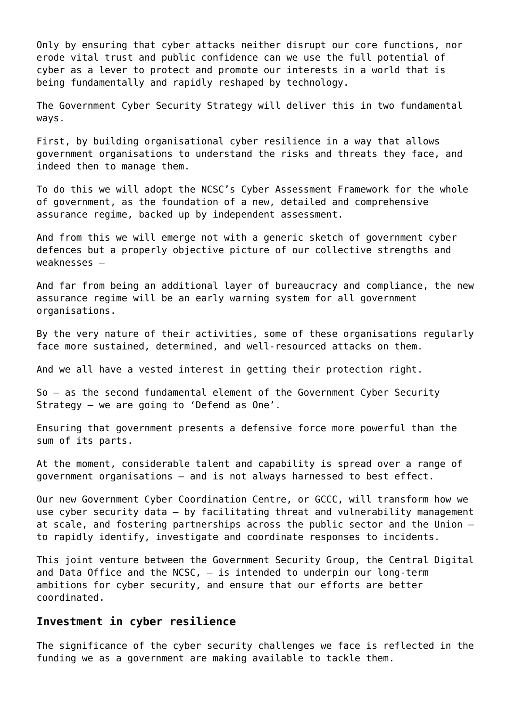Only by ensuring that cyber attacks neither disrupt our core functions, nor erode vital trust and public confidence can we use the full potential of cyber as a lever to protect and promote our interests in a world that is being fundamentally and rapidly reshaped by technology.

The Government Cyber Security Strategy will deliver this in two fundamental ways.

First, by building organisational cyber resilience in a way that allows government organisations to understand the risks and threats they face, and indeed then to manage them.

To do this we will adopt the NCSC's Cyber Assessment Framework for the whole of government, as the foundation of a new, detailed and comprehensive assurance regime, backed up by independent assessment.

And from this we will emerge not with a generic sketch of government cyber defences but a properly objective picture of our collective strengths and weaknesses –

And far from being an additional layer of bureaucracy and compliance, the new assurance regime will be an early warning system for all government organisations.

By the very nature of their activities, some of these organisations regularly face more sustained, determined, and well-resourced attacks on them.

And we all have a vested interest in getting their protection right.

So – as the second fundamental element of the Government Cyber Security Strategy – we are going to 'Defend as One'.

Ensuring that government presents a defensive force more powerful than the sum of its parts.

At the moment, considerable talent and capability is spread over a range of government organisations – and is not always harnessed to best effect.

Our new Government Cyber Coordination Centre, or GCCC, will transform how we use cyber security data – by facilitating threat and vulnerability management at scale, and fostering partnerships across the public sector and the Union – to rapidly identify, investigate and coordinate responses to incidents.

This joint venture between the Government Security Group, the Central Digital and Data Office and the NCSC, – is intended to underpin our long-term ambitions for cyber security, and ensure that our efforts are better coordinated.

#### **Investment in cyber resilience**

The significance of the cyber security challenges we face is reflected in the funding we as a government are making available to tackle them.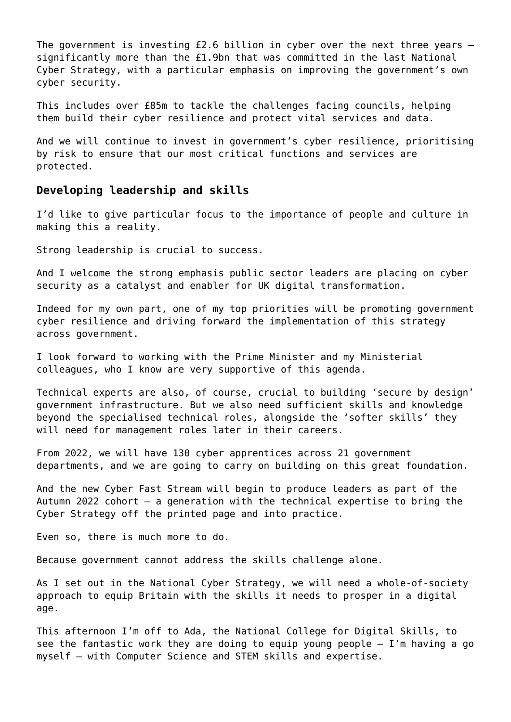The government is investing  $f2.6$  billion in cyber over the next three years  $$ significantly more than the £1.9bn that was committed in the last National Cyber Strategy, with a particular emphasis on improving the government's own cyber security.

This includes over £85m to tackle the challenges facing councils, helping them build their cyber resilience and protect vital services and data.

And we will continue to invest in government's cyber resilience, prioritising by risk to ensure that our most critical functions and services are protected.

#### **Developing leadership and skills**

I'd like to give particular focus to the importance of people and culture in making this a reality.

Strong leadership is crucial to success.

And I welcome the strong emphasis public sector leaders are placing on cyber security as a catalyst and enabler for UK digital transformation.

Indeed for my own part, one of my top priorities will be promoting government cyber resilience and driving forward the implementation of this strategy across government.

I look forward to working with the Prime Minister and my Ministerial colleagues, who I know are very supportive of this agenda.

Technical experts are also, of course, crucial to building 'secure by design' government infrastructure. But we also need sufficient skills and knowledge beyond the specialised technical roles, alongside the 'softer skills' they will need for management roles later in their careers.

From 2022, we will have 130 cyber apprentices across 21 government departments, and we are going to carry on building on this great foundation.

And the new Cyber Fast Stream will begin to produce leaders as part of the Autumn 2022 cohort – a generation with the technical expertise to bring the Cyber Strategy off the printed page and into practice.

Even so, there is much more to do.

Because government cannot address the skills challenge alone.

As I set out in the National Cyber Strategy, we will need a whole-of-society approach to equip Britain with the skills it needs to prosper in a digital age.

This afternoon I'm off to Ada, the National College for Digital Skills, to see the fantastic work they are doing to equip young people  $-$  I'm having a go myself – with Computer Science and STEM skills and expertise.